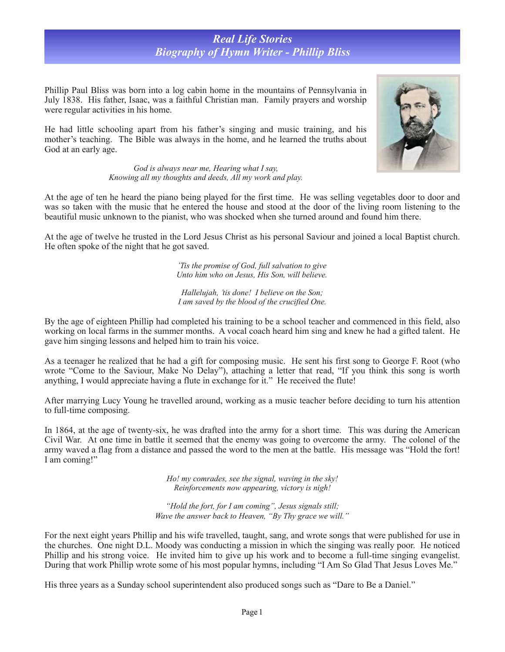## *Real Life Stories Biography of Hymn Writer - Phillip Bliss*

Phillip Paul Bliss was born into a log cabin home in the mountains of Pennsylvania in July 1838. His father, Isaac, was a faithful Christian man. Family prayers and worship were regular activities in his home.

He had little schooling apart from his father's singing and music training, and his mother's teaching. The Bible was always in the home, and he learned the truths about God at an early age.





At the age of twelve he trusted in the Lord Jesus Christ as his personal Saviour and joined a local Baptist church. He often spoke of the night that he got saved.

> *'Tis the promise of God, full salvation to give Unto him who on Jesus, His Son, will believe.*

*Hallelujah, 'tis done! I believe on the Son; I am saved by the blood of the crucified One.* 

By the age of eighteen Phillip had completed his training to be a school teacher and commenced in this field, also working on local farms in the summer months. A vocal coach heard him sing and knew he had a gifted talent. He gave him singing lessons and helped him to train his voice.

As a teenager he realized that he had a gift for composing music. He sent his first song to George F. Root (who wrote "Come to the Saviour, Make No Delay"), attaching a letter that read, "If you think this song is worth anything, I would appreciate having a flute in exchange for it." He received the flute!

After marrying Lucy Young he travelled around, working as a music teacher before deciding to turn his attention to full-time composing.

In 1864, at the age of twenty-six, he was drafted into the army for a short time. This was during the American Civil War. At one time in battle it seemed that the enemy was going to overcome the army. The colonel of the army waved a flag from a distance and passed the word to the men at the battle. His message was "Hold the fort! I am coming!"

> *Ho! my comrades, see the signal, waving in the sky! Reinforcements now appearing, victory is nigh!*

*"Hold the fort, for I am coming", Jesus signals still; Wave the answer back to Heaven, "By Thy grace we will."*

For the next eight years Phillip and his wife travelled, taught, sang, and wrote songs that were published for use in the churches. One night D.L. Moody was conducting a mission in which the singing was really poor. He noticed Phillip and his strong voice. He invited him to give up his work and to become a full-time singing evangelist. During that work Phillip wrote some of his most popular hymns, including "I Am So Glad That Jesus Loves Me."

His three years as a Sunday school superintendent also produced songs such as "Dare to Be a Daniel."